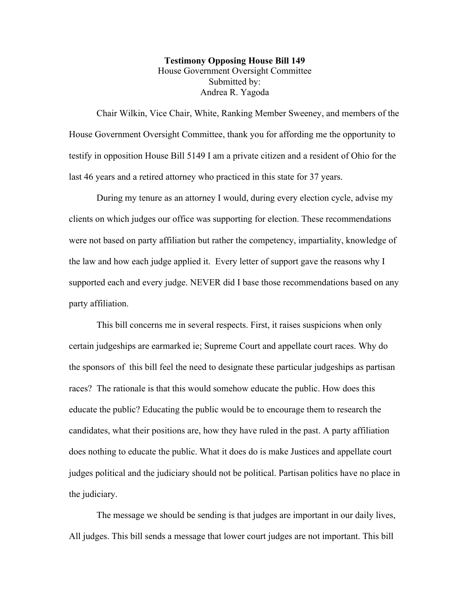## **Testimony Opposing House Bill 149** House Government Oversight Committee Submitted by: Andrea R. Yagoda

Chair Wilkin, Vice Chair, White, Ranking Member Sweeney, and members of the House Government Oversight Committee, thank you for affording me the opportunity to testify in opposition House Bill 5149 I am a private citizen and a resident of Ohio for the last 46 years and a retired attorney who practiced in this state for 37 years.

During my tenure as an attorney I would, during every election cycle, advise my clients on which judges our office was supporting for election. These recommendations were not based on party affiliation but rather the competency, impartiality, knowledge of the law and how each judge applied it. Every letter of support gave the reasons why I supported each and every judge. NEVER did I base those recommendations based on any party affiliation.

This bill concerns me in several respects. First, it raises suspicions when only certain judgeships are earmarked ie; Supreme Court and appellate court races. Why do the sponsors of this bill feel the need to designate these particular judgeships as partisan races? The rationale is that this would somehow educate the public. How does this educate the public? Educating the public would be to encourage them to research the candidates, what their positions are, how they have ruled in the past. A party affiliation does nothing to educate the public. What it does do is make Justices and appellate court judges political and the judiciary should not be political. Partisan politics have no place in the judiciary.

The message we should be sending is that judges are important in our daily lives, All judges. This bill sends a message that lower court judges are not important. This bill